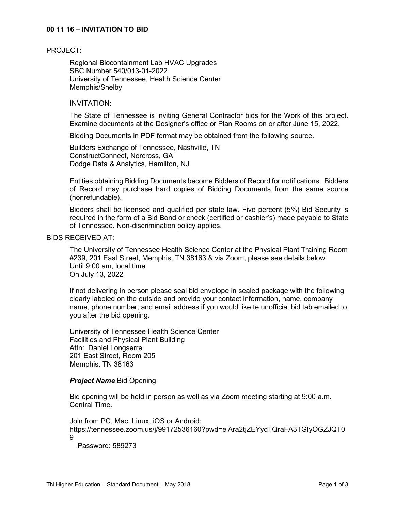## **00 11 16 – INVITATION TO BID**

#### PROJECT:

Regional Biocontainment Lab HVAC Upgrades SBC Number 540/013-01-2022 University of Tennessee, Health Science Center Memphis/Shelby

## INVITATION:

The State of Tennessee is inviting General Contractor bids for the Work of this project. Examine documents at the Designer's office or Plan Rooms on or after June 15, 2022.

Bidding Documents in PDF format may be obtained from the following source.

Builders Exchange of Tennessee, Nashville, TN ConstructConnect, Norcross, GA Dodge Data & Analytics, Hamilton, NJ

Entities obtaining Bidding Documents become Bidders of Record for notifications. Bidders of Record may purchase hard copies of Bidding Documents from the same source (nonrefundable).

Bidders shall be licensed and qualified per state law. Five percent (5%) Bid Security is required in the form of a Bid Bond or check (certified or cashier's) made payable to State of Tennessee. Non-discrimination policy applies.

# BIDS RECEIVED AT:

The University of Tennessee Health Science Center at the Physical Plant Training Room #239, 201 East Street, Memphis, TN 38163 & via Zoom, please see details below. Until 9:00 am, local time On July 13, 2022

If not delivering in person please seal bid envelope in sealed package with the following clearly labeled on the outside and provide your contact information, name, company name, phone number, and email address if you would like te unofficial bid tab emailed to you after the bid opening.

University of Tennessee Health Science Center Facilities and Physical Plant Building Attn: Daniel Longserre 201 East Street, Room 205 Memphis, TN 38163

#### *Project Name* Bid Opening

Bid opening will be held in person as well as via Zoom meeting starting at 9:00 a.m. Central Time.

Join from PC, Mac, Linux, iOS or Android: https://tennessee.zoom.us/j/99172536160?pwd=elAra2tjZEYydTQraFA3TGIyOGZJQT0 9

Password: 589273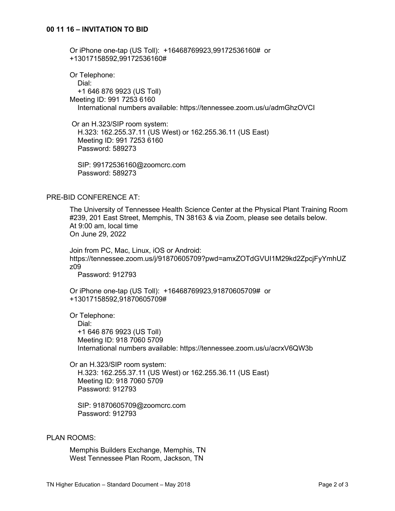Or iPhone one-tap (US Toll): +16468769923,99172536160# or +13017158592,99172536160#

Or Telephone: Dial: +1 646 876 9923 (US Toll) Meeting ID: 991 7253 6160 International numbers available: https://tennessee.zoom.us/u/admGhzOVCI

Or an H.323/SIP room system: H.323: 162.255.37.11 (US West) or 162.255.36.11 (US East) Meeting ID: 991 7253 6160 Password: 589273

 SIP: 99172536160@zoomcrc.com Password: 589273

# PRE-BID CONFERENCE AT:

The University of Tennessee Health Science Center at the Physical Plant Training Room #239, 201 East Street, Memphis, TN 38163 & via Zoom, please see details below. At 9:00 am, local time On June 29, 2022

Join from PC, Mac, Linux, iOS or Android: https://tennessee.zoom.us/j/91870605709?pwd=amxZOTdGVUI1M29kd2ZpcjFyYmhUZ z09

Password: 912793

Or iPhone one-tap (US Toll): +16468769923,91870605709# or +13017158592,91870605709#

Or Telephone:

 Dial: +1 646 876 9923 (US Toll) Meeting ID: 918 7060 5709 International numbers available: https://tennessee.zoom.us/u/acrxV6QW3b

Or an H.323/SIP room system: H.323: 162.255.37.11 (US West) or 162.255.36.11 (US East) Meeting ID: 918 7060 5709 Password: 912793

 SIP: 91870605709@zoomcrc.com Password: 912793

## PLAN ROOMS:

Memphis Builders Exchange, Memphis, TN West Tennessee Plan Room, Jackson, TN